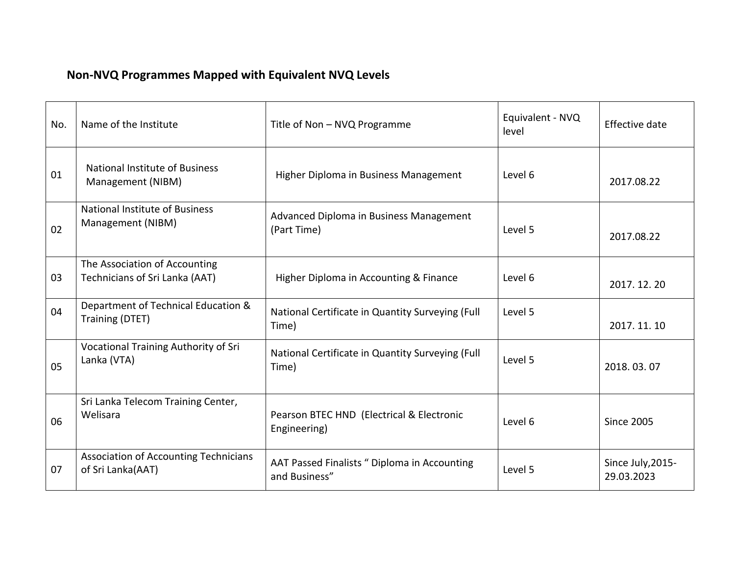## **Non-NVQ Programmes Mapped with Equivalent NVQ Levels**

| No. | Name of the Institute                                           | Title of Non - NVQ Programme                                  | Equivalent - NVQ<br>level | Effective date                  |
|-----|-----------------------------------------------------------------|---------------------------------------------------------------|---------------------------|---------------------------------|
| 01  | <b>National Institute of Business</b><br>Management (NIBM)      | Higher Diploma in Business Management                         | Level 6                   | 2017.08.22                      |
| 02  | <b>National Institute of Business</b><br>Management (NIBM)      | Advanced Diploma in Business Management<br>(Part Time)        | Level 5                   | 2017.08.22                      |
| 03  | The Association of Accounting<br>Technicians of Sri Lanka (AAT) | Higher Diploma in Accounting & Finance                        | Level 6                   | 2017.12.20                      |
| 04  | Department of Technical Education &<br>Training (DTET)          | National Certificate in Quantity Surveying (Full<br>Time)     | Level 5                   | 2017.11.10                      |
| 05  | Vocational Training Authority of Sri<br>Lanka (VTA)             | National Certificate in Quantity Surveying (Full<br>Time)     | Level 5                   | 2018.03.07                      |
| 06  | Sri Lanka Telecom Training Center,<br>Welisara                  | Pearson BTEC HND (Electrical & Electronic<br>Engineering)     | Level 6                   | <b>Since 2005</b>               |
| 07  | Association of Accounting Technicians<br>of Sri Lanka(AAT)      | AAT Passed Finalists " Diploma in Accounting<br>and Business" | Level 5                   | Since July, 2015-<br>29.03.2023 |